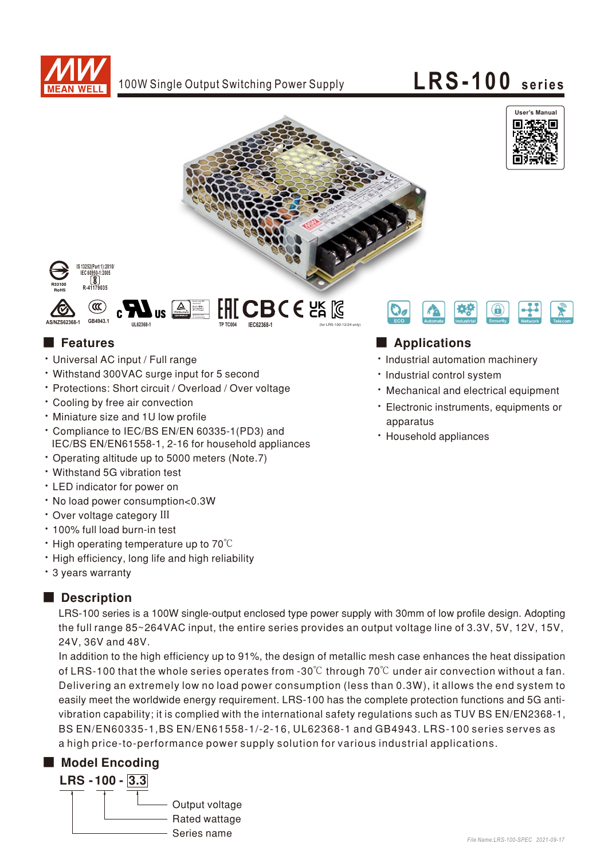





 $[$  CBC  $\epsilon$  පූ  $\mathbb{R}$ 





- Universal AC input / Full range
- Withstand 300VAC surge input for 5 second

**UL62368-1**

• Protections: Short circuit / Overload / Over voltage

Bauart gepruf<br>Sicherheit<br>Pedisjonen<br>Clierwack prij www. tuv.com

- Cooling by free air convection
- Miniature size and 1U low profile
- \* Compliance to IEC/BS EN/EN 60335-1(PD3) and IEC/BS EN/EN61558-1, 2-16 for household appliances
- Operating altitude up to 5000 meters (Note.7)
- Withstand 5G vibration test
- LED indicator for power on
- No load power consumption<0.3W
- Over voltage category III
- 100% full load burn-in test
- High operating temperature up to 70°C
- . High efficiency, long life and high reliability
- 3 years warranty

## Description

LRS-100 series is a 100W single-output enclosed type power supply with 30mm of low profile design. Adopting the full range 85~264VAC input, the entire series provides an output voltage line of 3.3V, 5V, 12V, 15V, 24V.36V and 48V.

easily meet the worldwide energy requirement. LRS-100 has the complete protection functions and 5G anti-In addition to the high efficiency up to 91%, the design of metallic mesh case enhances the heat dissipation of LRS-100 that the whole series operates from -30 $\degree$ C through 70 $\degree$ C under air convection without a fan. Delivering an extremely low no load power consumption (less than 0.3W), it allows the end system to vibration capability; it is complied with the international safety regulations such as TUV BS EN/EN2368-1, BS EN/EN60335-1, BS EN/EN61558-1/-2-16, UL62368-1 and GB4943. LRS-100 series serves as a high price-to-performance power supply solution for various industrial applications.

# ■ Model Encoding





## ■ Features **■ Propriations**

- · Industrial automation machinery
- · Industrial control system
- Mechanical and electrical equipment
- · Electronic instruments, equipments or apparatus
- Household appliances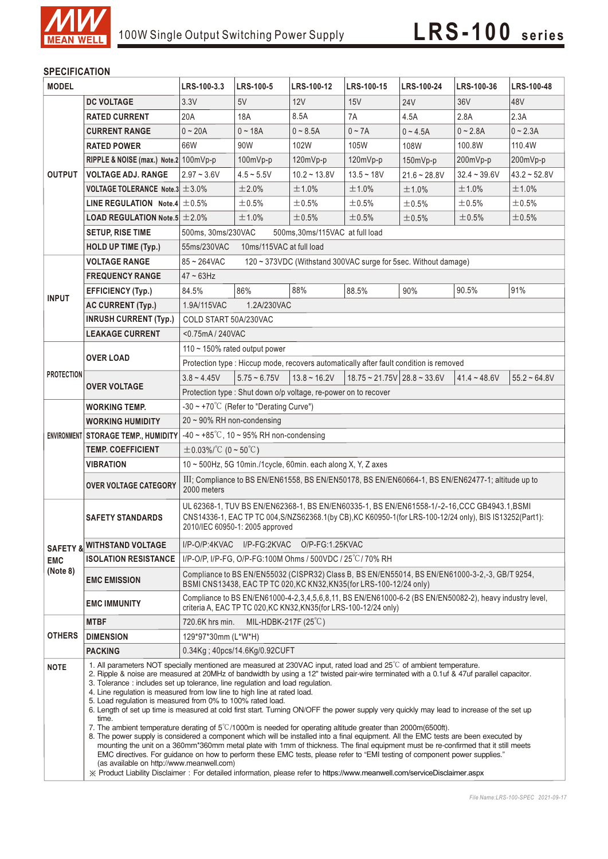

### **SPECIFICATION**

| <b>MODEL</b>           |                                                      | LRS-100-3.3                                                                                                                                                                                                                                                                                                                                                                                                                                                                                                                                                                                                                                                                                                                                                                                                                                                                                                                                                                                                                                                                                                                                                                                                                         | <b>LRS-100-5</b>         | LRS-100-12     | <b>LRS-100-15</b>                           | LRS-100-24     | LRS-100-36     | LRS-100-48     |  |  |  |
|------------------------|------------------------------------------------------|-------------------------------------------------------------------------------------------------------------------------------------------------------------------------------------------------------------------------------------------------------------------------------------------------------------------------------------------------------------------------------------------------------------------------------------------------------------------------------------------------------------------------------------------------------------------------------------------------------------------------------------------------------------------------------------------------------------------------------------------------------------------------------------------------------------------------------------------------------------------------------------------------------------------------------------------------------------------------------------------------------------------------------------------------------------------------------------------------------------------------------------------------------------------------------------------------------------------------------------|--------------------------|----------------|---------------------------------------------|----------------|----------------|----------------|--|--|--|
|                        | <b>DC VOLTAGE</b>                                    | 3.3V                                                                                                                                                                                                                                                                                                                                                                                                                                                                                                                                                                                                                                                                                                                                                                                                                                                                                                                                                                                                                                                                                                                                                                                                                                | 5V                       | 12V            | 15V                                         | <b>24V</b>     | 36V            | 48V            |  |  |  |
|                        | <b>RATED CURRENT</b>                                 | 20A                                                                                                                                                                                                                                                                                                                                                                                                                                                                                                                                                                                                                                                                                                                                                                                                                                                                                                                                                                                                                                                                                                                                                                                                                                 | 18A                      | 8.5A           | 7A                                          | 4.5A           | 2.8A           | 2.3A           |  |  |  |
|                        | <b>CURRENT RANGE</b>                                 | $0 - 20A$                                                                                                                                                                                                                                                                                                                                                                                                                                                                                                                                                                                                                                                                                                                                                                                                                                                                                                                                                                                                                                                                                                                                                                                                                           | $0 - 18A$                | $0 - 8.5A$     | $0 - 7A$                                    | $0 - 4.5A$     | $0 - 2.8A$     | $0 - 2.3A$     |  |  |  |
|                        | <b>RATED POWER</b>                                   | 66W                                                                                                                                                                                                                                                                                                                                                                                                                                                                                                                                                                                                                                                                                                                                                                                                                                                                                                                                                                                                                                                                                                                                                                                                                                 | 90W                      | 102W           | 105W                                        | 108W           | 100.8W         | 110.4W         |  |  |  |
|                        | RIPPLE & NOISE (max.) Note.2 100mVp-p                |                                                                                                                                                                                                                                                                                                                                                                                                                                                                                                                                                                                                                                                                                                                                                                                                                                                                                                                                                                                                                                                                                                                                                                                                                                     | 100mVp-p                 | $120mVp-p$     | 120mVp-p                                    | 150mVp-p       | 200mVp-p       | 200mVp-p       |  |  |  |
| <b>OUTPUT</b>          | <b>VOLTAGE ADJ. RANGE</b>                            | $2.97 - 3.6V$                                                                                                                                                                                                                                                                                                                                                                                                                                                                                                                                                                                                                                                                                                                                                                                                                                                                                                                                                                                                                                                                                                                                                                                                                       | $4.5 - 5.5V$             | $10.2 - 13.8V$ | $13.5 - 18V$                                | $21.6 - 28.8V$ | $32.4 - 39.6V$ | $43.2 - 52.8V$ |  |  |  |
|                        | VOLTAGE TOLERANCE Note.3 $\pm$ 3.0%                  |                                                                                                                                                                                                                                                                                                                                                                                                                                                                                                                                                                                                                                                                                                                                                                                                                                                                                                                                                                                                                                                                                                                                                                                                                                     | ±2.0%                    | ±1.0%          | ±1.0%                                       | ±1.0%          | ±1.0%          | ±1.0%          |  |  |  |
|                        | LINE REGULATION Note.4 $\pm$ 0.5%                    |                                                                                                                                                                                                                                                                                                                                                                                                                                                                                                                                                                                                                                                                                                                                                                                                                                                                                                                                                                                                                                                                                                                                                                                                                                     | ±0.5%                    | ±0.5%          | ±0.5%                                       | ±0.5%          | ±0.5%          | ±0.5%          |  |  |  |
|                        | <b>LOAD REGULATION Note.5 <math>\pm 2.0\%</math></b> |                                                                                                                                                                                                                                                                                                                                                                                                                                                                                                                                                                                                                                                                                                                                                                                                                                                                                                                                                                                                                                                                                                                                                                                                                                     | ±1.0%                    | ±0.5%          | $\pm 0.5\%$                                 | $\pm$ 0.5%     | ±0.5%          | ±0.5%          |  |  |  |
|                        | <b>SETUP, RISE TIME</b>                              | 500ms, 30ms/230VAC<br>500ms, 30ms/115VAC at full load                                                                                                                                                                                                                                                                                                                                                                                                                                                                                                                                                                                                                                                                                                                                                                                                                                                                                                                                                                                                                                                                                                                                                                               |                          |                |                                             |                |                |                |  |  |  |
|                        | <b>HOLD UP TIME (Typ.)</b>                           | 55ms/230VAC                                                                                                                                                                                                                                                                                                                                                                                                                                                                                                                                                                                                                                                                                                                                                                                                                                                                                                                                                                                                                                                                                                                                                                                                                         | 10ms/115VAC at full load |                |                                             |                |                |                |  |  |  |
|                        | <b>VOLTAGE RANGE</b>                                 | 85~264VAC<br>120 ~ 373VDC (Withstand 300VAC surge for 5sec. Without damage)                                                                                                                                                                                                                                                                                                                                                                                                                                                                                                                                                                                                                                                                                                                                                                                                                                                                                                                                                                                                                                                                                                                                                         |                          |                |                                             |                |                |                |  |  |  |
|                        | <b>FREQUENCY RANGE</b>                               | $47 \sim 63$ Hz                                                                                                                                                                                                                                                                                                                                                                                                                                                                                                                                                                                                                                                                                                                                                                                                                                                                                                                                                                                                                                                                                                                                                                                                                     |                          |                |                                             |                |                |                |  |  |  |
|                        | <b>EFFICIENCY (Typ.)</b>                             | 84.5%                                                                                                                                                                                                                                                                                                                                                                                                                                                                                                                                                                                                                                                                                                                                                                                                                                                                                                                                                                                                                                                                                                                                                                                                                               | 86%                      | 88%            | 88.5%                                       | 90%            | 90.5%          | 91%            |  |  |  |
| <b>INPUT</b>           | <b>AC CURRENT (Typ.)</b>                             | 1.9A/115VAC<br>1.2A/230VAC                                                                                                                                                                                                                                                                                                                                                                                                                                                                                                                                                                                                                                                                                                                                                                                                                                                                                                                                                                                                                                                                                                                                                                                                          |                          |                |                                             |                |                |                |  |  |  |
|                        | <b>INRUSH CURRENT (Typ.)</b>                         | COLD START 50A/230VAC                                                                                                                                                                                                                                                                                                                                                                                                                                                                                                                                                                                                                                                                                                                                                                                                                                                                                                                                                                                                                                                                                                                                                                                                               |                          |                |                                             |                |                |                |  |  |  |
|                        | <b>LEAKAGE CURRENT</b>                               | <0.75mA/240VAC                                                                                                                                                                                                                                                                                                                                                                                                                                                                                                                                                                                                                                                                                                                                                                                                                                                                                                                                                                                                                                                                                                                                                                                                                      |                          |                |                                             |                |                |                |  |  |  |
| <b>PROTECTION</b>      | <b>OVER LOAD</b>                                     | 110 $\sim$ 150% rated output power                                                                                                                                                                                                                                                                                                                                                                                                                                                                                                                                                                                                                                                                                                                                                                                                                                                                                                                                                                                                                                                                                                                                                                                                  |                          |                |                                             |                |                |                |  |  |  |
|                        |                                                      | Protection type : Hiccup mode, recovers automatically after fault condition is removed                                                                                                                                                                                                                                                                                                                                                                                                                                                                                                                                                                                                                                                                                                                                                                                                                                                                                                                                                                                                                                                                                                                                              |                          |                |                                             |                |                |                |  |  |  |
|                        |                                                      | $3.8 - 4.45V$                                                                                                                                                                                                                                                                                                                                                                                                                                                                                                                                                                                                                                                                                                                                                                                                                                                                                                                                                                                                                                                                                                                                                                                                                       | $5.75 \sim 6.75V$        | $13.8 - 16.2V$ | $18.75 \approx 21.75V$ 28.8 $\approx 33.6V$ |                | $41.4 - 48.6V$ | $55.2 - 64.8V$ |  |  |  |
|                        | <b>OVER VOLTAGE</b>                                  | Protection type: Shut down o/p voltage, re-power on to recover                                                                                                                                                                                                                                                                                                                                                                                                                                                                                                                                                                                                                                                                                                                                                                                                                                                                                                                                                                                                                                                                                                                                                                      |                          |                |                                             |                |                |                |  |  |  |
|                        | <b>WORKING TEMP.</b>                                 | $-30 \sim +70^{\circ}$ C (Refer to "Derating Curve")                                                                                                                                                                                                                                                                                                                                                                                                                                                                                                                                                                                                                                                                                                                                                                                                                                                                                                                                                                                                                                                                                                                                                                                |                          |                |                                             |                |                |                |  |  |  |
|                        | <b>WORKING HUMIDITY</b>                              | $20 \sim 90\%$ RH non-condensing                                                                                                                                                                                                                                                                                                                                                                                                                                                                                                                                                                                                                                                                                                                                                                                                                                                                                                                                                                                                                                                                                                                                                                                                    |                          |                |                                             |                |                |                |  |  |  |
|                        | ENVIRONMENT STORAGE TEMP., HUMIDITY                  | $-40 \sim +85^{\circ}$ C, 10 ~ 95% RH non-condensing                                                                                                                                                                                                                                                                                                                                                                                                                                                                                                                                                                                                                                                                                                                                                                                                                                                                                                                                                                                                                                                                                                                                                                                |                          |                |                                             |                |                |                |  |  |  |
|                        | <b>TEMP. COEFFICIENT</b>                             | $\pm$ 0.03%/°C (0~50°C)                                                                                                                                                                                                                                                                                                                                                                                                                                                                                                                                                                                                                                                                                                                                                                                                                                                                                                                                                                                                                                                                                                                                                                                                             |                          |                |                                             |                |                |                |  |  |  |
|                        | <b>VIBRATION</b>                                     | $10 \sim 500$ Hz, 5G 10min./1cycle, 60min. each along X, Y, Z axes                                                                                                                                                                                                                                                                                                                                                                                                                                                                                                                                                                                                                                                                                                                                                                                                                                                                                                                                                                                                                                                                                                                                                                  |                          |                |                                             |                |                |                |  |  |  |
|                        | <b>OVER VOLTAGE CATEGORY</b>                         | III; Compliance to BS EN/EN61558, BS EN/EN50178, BS EN/EN60664-1, BS EN/EN62477-1; altitude up to<br>2000 meters                                                                                                                                                                                                                                                                                                                                                                                                                                                                                                                                                                                                                                                                                                                                                                                                                                                                                                                                                                                                                                                                                                                    |                          |                |                                             |                |                |                |  |  |  |
| <b>EMC</b><br>(Note 8) | <b>SAFETY STANDARDS</b>                              | UL 62368-1, TUV BS EN/EN62368-1, BS EN/EN60335-1, BS EN/EN61558-1/-2-16, CCC GB4943.1, BSMI<br>CNS14336-1, EAC TP TC 004, S/NZS62368.1(by CB), KC K60950-1(for LRS-100-12/24 only), BIS IS13252(Part1):<br>2010/IEC 60950-1: 2005 approved                                                                                                                                                                                                                                                                                                                                                                                                                                                                                                                                                                                                                                                                                                                                                                                                                                                                                                                                                                                          |                          |                |                                             |                |                |                |  |  |  |
|                        | <b>SAFETY &amp; WITHSTAND VOLTAGE</b>                | I/P-O/P:4KVAC I/P-FG:2KVAC O/P-FG:1.25KVAC                                                                                                                                                                                                                                                                                                                                                                                                                                                                                                                                                                                                                                                                                                                                                                                                                                                                                                                                                                                                                                                                                                                                                                                          |                          |                |                                             |                |                |                |  |  |  |
|                        | <b>ISOLATION RESISTANCE</b>                          | I/P-O/P, I/P-FG, O/P-FG:100M Ohms / 500VDC / 25°C/70% RH                                                                                                                                                                                                                                                                                                                                                                                                                                                                                                                                                                                                                                                                                                                                                                                                                                                                                                                                                                                                                                                                                                                                                                            |                          |                |                                             |                |                |                |  |  |  |
|                        | <b>EMC EMISSION</b>                                  | Compliance to BS EN/EN55032 (CISPR32) Class B, BS EN/EN55014, BS EN/EN61000-3-2,-3, GB/T 9254,<br>BSMI CNS13438, EAC TP TC 020, KC KN32, KN35 (for LRS-100-12/24 only)                                                                                                                                                                                                                                                                                                                                                                                                                                                                                                                                                                                                                                                                                                                                                                                                                                                                                                                                                                                                                                                              |                          |                |                                             |                |                |                |  |  |  |
|                        | <b>EMC IMMUNITY</b>                                  | Compliance to BS EN/EN61000-4-2,3,4,5,6,8,11, BS EN/EN61000-6-2 (BS EN/EN50082-2), heavy industry level,<br>criteria A, EAC TP TC 020, KC KN32, KN35 (for LRS-100-12/24 only)                                                                                                                                                                                                                                                                                                                                                                                                                                                                                                                                                                                                                                                                                                                                                                                                                                                                                                                                                                                                                                                       |                          |                |                                             |                |                |                |  |  |  |
| <b>OTHERS</b>          | <b>MTBF</b>                                          | MIL-HDBK-217F $(25^{\circ}C)$<br>720.6K hrs min.                                                                                                                                                                                                                                                                                                                                                                                                                                                                                                                                                                                                                                                                                                                                                                                                                                                                                                                                                                                                                                                                                                                                                                                    |                          |                |                                             |                |                |                |  |  |  |
|                        | <b>DIMENSION</b>                                     | 129*97*30mm (L*W*H)                                                                                                                                                                                                                                                                                                                                                                                                                                                                                                                                                                                                                                                                                                                                                                                                                                                                                                                                                                                                                                                                                                                                                                                                                 |                          |                |                                             |                |                |                |  |  |  |
|                        | <b>PACKING</b>                                       | 0.34Kg; 40pcs/14.6Kg/0.92CUFT                                                                                                                                                                                                                                                                                                                                                                                                                                                                                                                                                                                                                                                                                                                                                                                                                                                                                                                                                                                                                                                                                                                                                                                                       |                          |                |                                             |                |                |                |  |  |  |
| <b>NOTE</b>            | time.                                                | 1. All parameters NOT specially mentioned are measured at 230VAC input, rated load and $25^{\circ}$ of ambient temperature.<br>2. Ripple & noise are measured at 20MHz of bandwidth by using a 12" twisted pair-wire terminated with a 0.1uf & 47uf parallel capacitor.<br>3. Tolerance: includes set up tolerance, line regulation and load regulation.<br>4. Line regulation is measured from low line to high line at rated load.<br>5. Load regulation is measured from 0% to 100% rated load.<br>6. Length of set up time is measured at cold first start. Turning ON/OFF the power supply very quickly may lead to increase of the set up<br>7. The ambient temperature derating of $5^{\circ}$ C/1000m is needed for operating altitude greater than 2000m(6500ft).<br>8. The power supply is considered a component which will be installed into a final equipment. All the EMC tests are been executed by<br>mounting the unit on a 360mm*360mm metal plate with 1mm of thickness. The final equipment must be re-confirmed that it still meets<br>EMC directives. For guidance on how to perform these EMC tests, please refer to "EMI testing of component power supplies."<br>(as available on http://www.meanwell.com) |                          |                |                                             |                |                |                |  |  |  |
|                        |                                                      | X Product Liability Disclaimer: For detailed information, please refer to https://www.meanwell.com/serviceDisclaimer.aspx                                                                                                                                                                                                                                                                                                                                                                                                                                                                                                                                                                                                                                                                                                                                                                                                                                                                                                                                                                                                                                                                                                           |                          |                |                                             |                |                |                |  |  |  |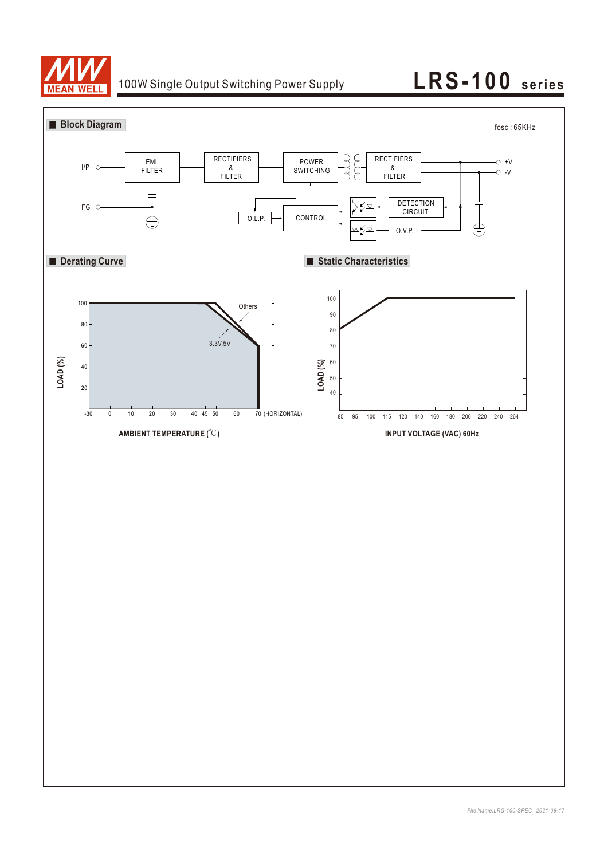

# 100W Single Output Switching Power Supply **LRS-100** series